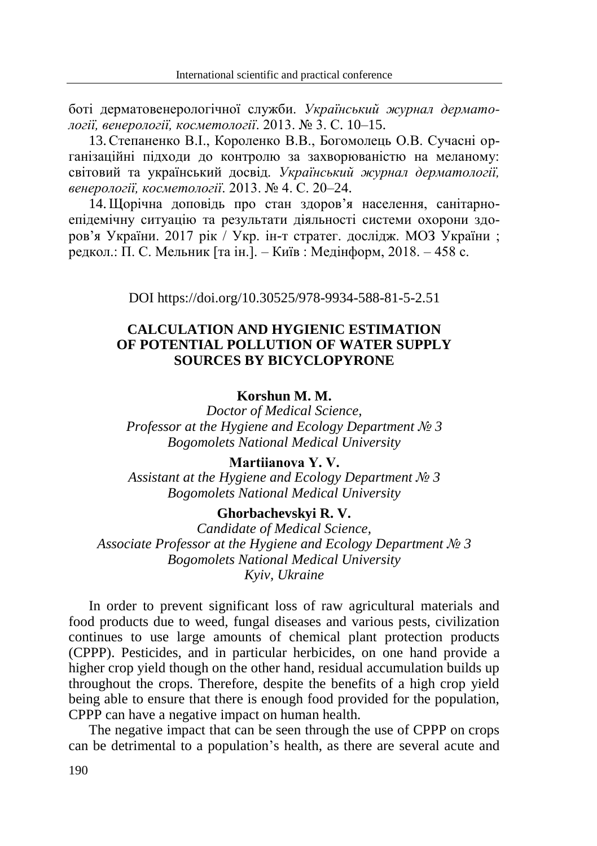боті дерматовенерологічної служби. *Український журнал дерматології, венерології, косметології*. 2013. № 3. С. 10–15.

13.Степаненко В.І., Короленко В.В., Богомолець О.В. Сучасні організаційні підходи до контролю за захворюваністю на меланому: світовий та український досвід. *Український журнал дерматології, венерології, косметології*. 2013. № 4. С. 20–24.

14.Щорічна доповідь про стан здоров'я населення, санітарноепідемічну ситуацію та результати діяльності системи охорони здоров'я України. 2017 рік / Укр. ін-т стратег. дослідж. МОЗ України ; редкол.: П. С. Мельник [та ін.]. – Київ : Медінформ, 2018. – 458 с.

DOI https://doi.org/10.30525/978-9934-588-81-5-2.51

## **CALCULATION AND HYGIENIC ESTIMATION OF POTENTIAL POLLUTION OF WATER SUPPLY SOURCES BY BICYCLOPYRONE**

## **Korshun M. M.**

*Doctor of Medical Science, Professor at the Hygiene and Ecology Department № 3 Bogomolets National Medical University*

### **Martіianova Y. V.**

*Assistant at the Hygiene and Ecology Department № 3 Bogomolets National Medical University*

### **Ghorbachevskyi R. V.**

*Candidate of Medical Science, Associate Professor at the Hygiene and Ecology Department № 3 Bogomolets National Medical University Kyiv, Ukraine*

In order to prevent significant loss of raw agricultural materials and food products due to weed, fungal diseases and various pests, civilization continues to use large amounts of chemical plant protection products (CPPP). Pesticides, and in particular herbicides, on one hand provide a higher crop yield though on the other hand, residual accumulation builds up throughout the crops. Therefore, despite the benefits of a high crop yield being able to ensure that there is enough food provided for the population, CPPP can have a negative impact on human health.

The negative impact that can be seen through the use of CPPP on crops can be detrimental to a population's health, as there are several acute and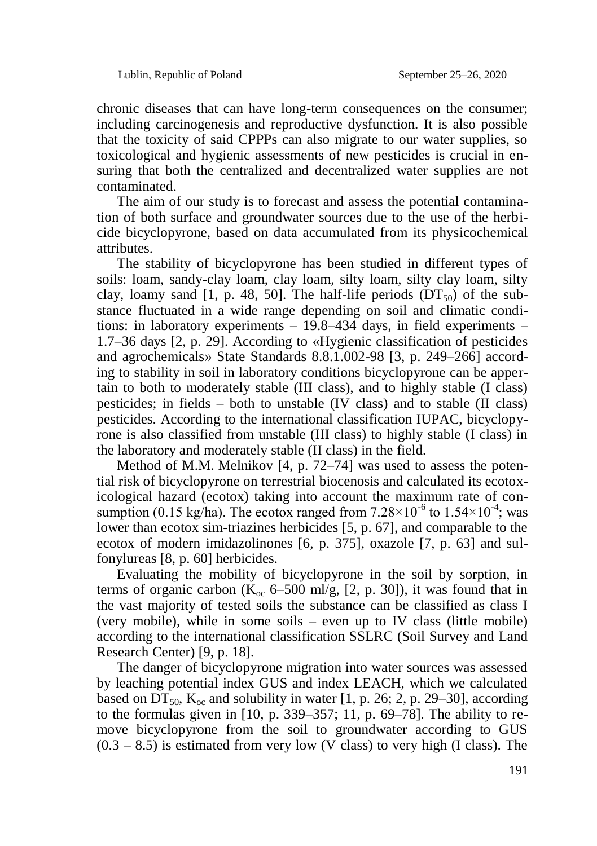chronic diseases that can have long-term consequences on the consumer; including carcinogenesis and reproductive dysfunction. It is also possible that the toxicity of said CPPPs can also migrate to our water supplies, so toxicological and hygienic assessments of new pesticides is crucial in ensuring that both the centralized and decentralized water supplies are not contaminated.

The aim of our study is to forecast and assess the potential contamination of both surface and groundwater sources due to the use of the herbicide bicyclopyrone, based on data accumulated from its physicochemical attributes.

The stability of bicyclopyrone has been studied in different types of soils: loam, sandy-clay loam, clay loam, silty loam, silty clay loam, silty clay, loamy sand [1, p. 48, 50]. The half-life periods  $(DT_{50})$  of the substance fluctuated in a wide range depending on soil and climatic conditions: in laboratory experiments – 19.8–434 days, in field experiments – 1.7–36 days [2, p. 29]. According to «Hygienic classification of pesticides and agrochemicals» State Standards 8.8.1.002-98 [3, p. 249–266] according to stability in soil in laboratory conditions bicyclopyrone can be appertain to both to moderately stable (III class), and to highly stable (I class) pesticides; in fields – both to unstable (IV class) and to stable (II class) pesticides. According to the international classification IUPAC, bicyclopyrone is also classified from unstable (III class) to highly stable (I class) in the laboratory and moderately stable (II class) in the field.

Method of M.M. Melnikov [4, p. 72–74] was used to assess the potential risk of bicyclopyrone on terrestrial biocenosis and calculated its ecotoxicological hazard (ecotox) taking into account the maximum rate of consumption (0.15 kg/ha). The ecotox ranged from  $7.28 \times 10^{-6}$  to  $1.54 \times 10^{-4}$ ; was lower than ecotox sim-triazines herbicides [5, p. 67], and comparable to the ecotox of modern imidazolinones [6, p. 375], oxazole [7, p. 63] and sulfonylureas [8, p. 60] herbicides.

Evaluating the mobility of bicyclopyrone in the soil by sorption, in terms of organic carbon ( $K_{\alpha c}$  6–500 ml/g, [2, p. 30]), it was found that in the vast majority of tested soils the substance can be classified as class I (very mobile), while in some soils – even up to IV class (little mobile) according to the international classification SSLRC (Soil Survey and Land Research Center) [9, p. 18].

The danger of bicyclopyrone migration into water sources was assessed by leaching potential index GUS and index LEACH, which we calculated based on DT<sub>50</sub>, K<sub>oc</sub> and solubility in water [1, p. 26; 2, p. 29–30], according to the formulas given in [10, p. 339–357; 11, p. 69–78]. The ability to remove bicyclopyrone from the soil to groundwater according to GUS  $(0.3 - 8.5)$  is estimated from very low (V class) to very high (I class). The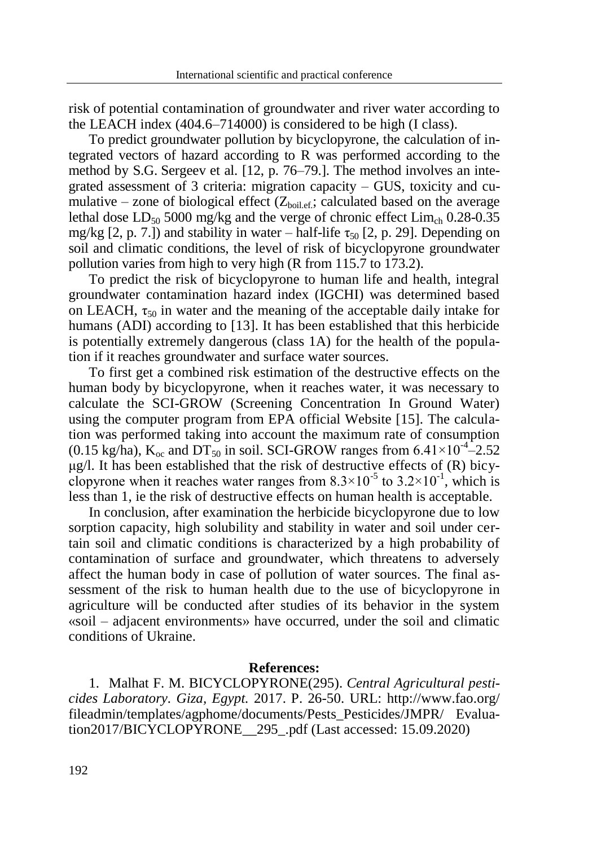risk of potential contamination of groundwater and river water according to the LEACH index (404.6–714000) is considered to be high (I class).

To predict groundwater pollution by bicyclopyrone, the calculation of integrated vectors of hazard according to R was performed according to the method by S.G. Sergeev et al. [12, p. 76–79.]. The method involves an integrated assessment of 3 criteria: migration capacity – GUS, toxicity and cumulative – zone of biological effect  $(Z_{\text{boilef}};$  calculated based on the average lethal dose  $LD_{50}$  5000 mg/kg and the verge of chronic effect  $Lim<sub>ch</sub>$  0.28-0.35 mg/kg [2, p. 7.]) and stability in water – half-life  $\tau_{50}$  [2, p. 29]. Depending on soil and climatic conditions, the level of risk of bicyclopyrone groundwater pollution varies from high to very high (R from 115.7 to 173.2).

To predict the risk of bicyclopyrone to human life and health, integral groundwater contamination hazard index (IGCHI) was determined based on LEACH,  $\tau_{50}$  in water and the meaning of the acceptable daily intake for humans (ADI) according to [13]. It has been established that this herbicide is potentially extremely dangerous (class 1A) for the health of the population if it reaches groundwater and surface water sources.

To first get a combined risk estimation of the destructive effects on the human body by bicyclopyrone, when it reaches water, it was necessary to calculate the SCI-GROW (Screening Concentration In Ground Water) using the computer program from EPA official Website [15]. The calculation was performed taking into account the maximum rate of consumption (0.15 kg/ha),  $K_{\text{oc}}$  and DT<sub>50</sub> in soil. SCI-GROW ranges from 6.41×10<sup>-4</sup>-2.52 μg/l. It has been established that the risk of destructive effects of (R) bicyclopyrone when it reaches water ranges from  $8.3 \times 10^{-5}$  to  $3.2 \times 10^{-1}$ , which is less than 1, ie the risk of destructive effects on human health is acceptable.

In conclusion, after examination the herbicide bicyclopyrone due to low sorption capacity, high solubility and stability in water and soil under certain soil and climatic conditions is characterized by a high probability of contamination of surface and groundwater, which threatens to adversely affect the human body in case of pollution of water sources. The final assessment of the risk to human health due to the use of bicyclopyrone in agriculture will be conducted after studies of its behavior in the system «soil – adjacent environments» have occurred, under the soil and climatic conditions of Ukraine.

#### **References:**

1. Malhat F. M. BICYCLOPYRONE(295). *Central Agricultural pesticides Laboratory. Giza, Egypt.* 2017. P. 26-50. URL: http://www.fao.org/ fileadmin/templates/agphome/documents/Pests\_Pesticides/JMPR/ Evaluation2017/BICYCLOPYRONE\_\_295\_.pdf (Last accessed: 15.09.2020)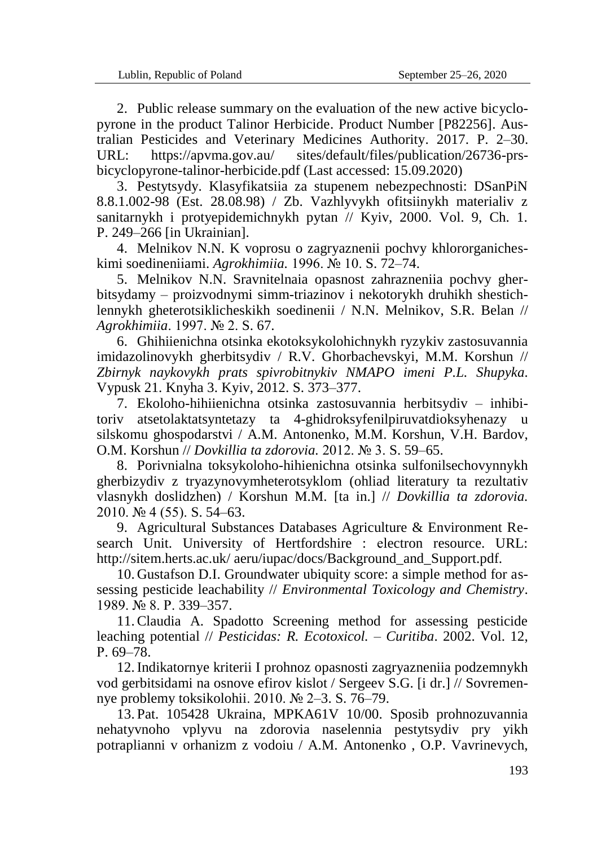2. Public release summary on the evaluation of the new active bicyclopyrone in the product Talinor Herbicide. Product Number [P82256]. Australian Pesticides and Veterinary Medicines Authority. 2017. P. 2–30. URL: https://apvma.gov.au/ sites/default/files/publication/26736-prsbicyclopyrone-talinor-herbicide.pdf (Last accessed: 15.09.2020)

3. Pestytsydy. Klasyfikatsiia za stupenem nebezpechnosti: DSanPiN 8.8.1.002-98 (Est. 28.08.98) / Zb. Vazhlyvykh ofitsiinykh materialiv z sanitarnykh i protyepidemichnykh pytan // Kyiv, 2000. Vol. 9, Ch. 1. P. 249–266 [in Ukrainian].

4. Melnikov N.N. K voprosu o zagryaznenii pochvy khlororganicheskimi soedineniіami. *Agrokhimiia.* 1996. № 10. S. 72–74.

5. Melnikov N.N. Sravnitelnaia opasnost zahrazneniia pochvy gherbitsydamy – proizvodnymi simm-triazinov i nekotorykh druhikh shestichlennykh gheterotsiklicheskikh soedinenii / N.N. Melnikov, S.R. Belan // *Agrokhimiia*. 1997. № 2. S. 67.

6. Ghihiienichna otsinka ekotoksykolohichnykh ryzykiv zastosuvannia imidazolinovykh gherbitsydiv / R.V. Ghorbachevskyi, M.M. Korshun // *Zbirnyk naykovykh prats spivrobitnykiv NMAPO imeni P.L. Shupyka.* Vypusk 21. Knyha 3. Kyiv, 2012. S. 373–377.

7. Ekoloho-hihiienichna otsinka zastosuvannia herbitsydiv – inhibitoriv atsetolaktatsyntetazy ta 4-ghidroksyfenilpiruvatdioksyhenazy u silskomu ghospodarstvi / A.M. Antonenko, M.M. Korshun, V.H. Bardov, O.M. Korshun // *Dovkillia ta zdorovia.* 2012. № 3. S. 59–65.

8. Porivnialna toksykoloho-hihienichna otsinka sulfonilsechovynnykh gherbizydiv z tryazynovymheterotsyklom (ohliad literatury ta rezultativ vlasnykh doslidzhen) / Korshun M.M. [ta in.] // *Dovkillia ta zdorovia.* 2010. № 4 (55). S. 54–63.

9. Agricultural Substances Databases Agriculture & Environment Research Unit. University of Hertfordshire : electron resource. URL: http://sitem.herts.ac.uk/ aeru/iupac/docs/Background\_and\_Support.pdf.

10. Gustafson D.I. Groundwater ubiquity score: a simple method for assessing pesticide leachability // *Environmental Toxicology and Chemistry*. 1989. № 8. Р. 339–357.

11.Claudia A. Spadotto Screening method for assessing pesticide leaching potential // *Pesticidas: R. Ecotoxicol. – Curitiba*. 2002. Vol. 12, Р. 69–78.

12.Indikatornye kriterii I prohnoz opasnosti zagryazneniia podzemnykh vod gerbitsidami na osnove efirov kislot / Sergeev S.G. [i dr.] // Sovremennye problemy toksikolohii. 2010. № 2–3. S. 76–79.

13. Pat. 105428 Ukraina, MPKA61V 10/00. Sposib prohnozuvannia nehatyvnoho vplyvu na zdorovia naselennia pestytsydiv pry yikh potraplianni v orhanizm z vodoiu / A.M. Antonenko , O.P. Vavrinevych,